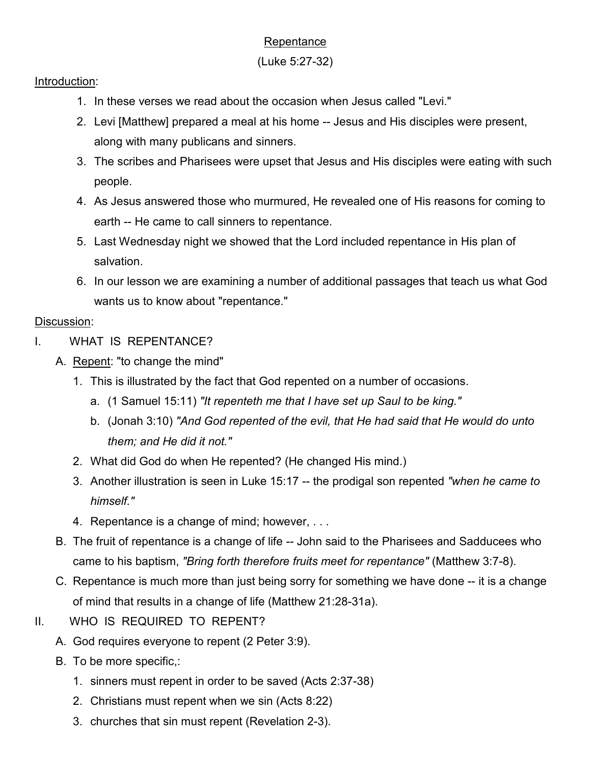# **Repentance**

### (Luke 5:27-32)

#### Introduction:

- 1. In these verses we read about the occasion when Jesus called "Levi."
- 2. Levi [Matthew] prepared a meal at his home -- Jesus and His disciples were present, along with many publicans and sinners.
- 3. The scribes and Pharisees were upset that Jesus and His disciples were eating with such people.
- 4. As Jesus answered those who murmured, He revealed one of His reasons for coming to earth -- He came to call sinners to repentance.
- 5. Last Wednesday night we showed that the Lord included repentance in His plan of salvation.
- 6. In our lesson we are examining a number of additional passages that teach us what God wants us to know about "repentance."

## Discussion:

- I. WHAT IS REPENTANCE?
	- A. Repent: "to change the mind"
		- 1. This is illustrated by the fact that God repented on a number of occasions.
			- a. (1 Samuel 15:11) *"It repenteth me that I have set up Saul to be king."*
			- b. (Jonah 3:10) *"And God repented of the evil, that He had said that He would do unto them; and He did it not."*
		- 2. What did God do when He repented? (He changed His mind.)
		- 3. Another illustration is seen in Luke 15:17 -- the prodigal son repented *"when he came to himself."*
		- 4. Repentance is a change of mind; however, . . .
	- B. The fruit of repentance is a change of life -- John said to the Pharisees and Sadducees who came to his baptism, *"Bring forth therefore fruits meet for repentance"* (Matthew 3:7-8).
	- C. Repentance is much more than just being sorry for something we have done -- it is a change of mind that results in a change of life (Matthew 21:28-31a).
- II. WHO IS REQUIRED TO REPENT?
	- A. God requires everyone to repent (2 Peter 3:9).
	- B. To be more specific,:
		- 1. sinners must repent in order to be saved (Acts 2:37-38)
		- 2. Christians must repent when we sin (Acts 8:22)
		- 3. churches that sin must repent (Revelation 2-3).